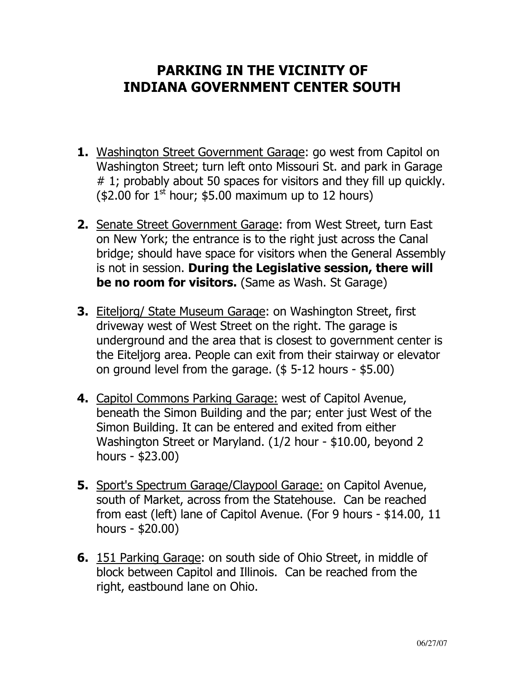## PARKING IN THE VICINITY OF INDIANA GOVERNMENT CENTER SOUTH

- 1. Washington Street Government Garage: go west from Capitol on Washington Street; turn left onto Missouri St. and park in Garage # 1; probably about 50 spaces for visitors and they fill up quickly. (\$2.00 for  $1^{\text{st}}$  hour; \$5.00 maximum up to 12 hours)
- 2. Senate Street Government Garage: from West Street, turn East on New York; the entrance is to the right just across the Canal bridge; should have space for visitors when the General Assembly is not in session. During the Legislative session, there will be no room for visitors. (Same as Wash. St Garage)
- 3. Eiteljorg/ State Museum Garage: on Washington Street, first driveway west of West Street on the right. The garage is underground and the area that is closest to government center is the Eiteljorg area. People can exit from their stairway or elevator on ground level from the garage. (\$ 5-12 hours - \$5.00)
- 4. Capitol Commons Parking Garage: west of Capitol Avenue, beneath the Simon Building and the par; enter just West of the Simon Building. It can be entered and exited from either Washington Street or Maryland. (1/2 hour - \$10.00, beyond 2 hours - \$23.00)
- 5. Sport's Spectrum Garage/Claypool Garage: on Capitol Avenue, south of Market, across from the Statehouse. Can be reached from east (left) lane of Capitol Avenue. (For 9 hours - \$14.00, 11 hours - \$20.00)
- 6. 151 Parking Garage: on south side of Ohio Street, in middle of block between Capitol and Illinois. Can be reached from the right, eastbound lane on Ohio.